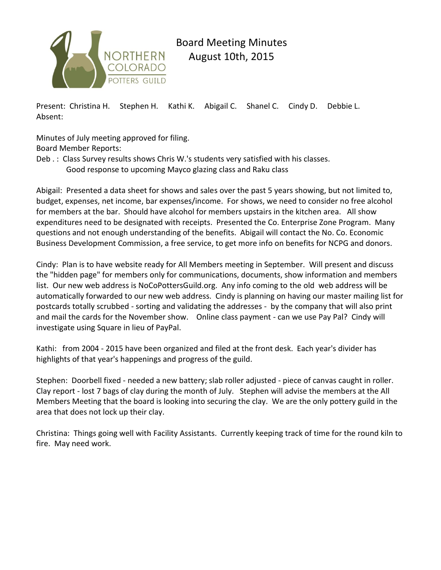

## Board Meeting Minutes August 10th, 2015

Present: Christina H. Stephen H. Kathi K. Abigail C. Shanel C. Cindy D. Debbie L. Absent:

Minutes of July meeting approved for filing. Board Member Reports:

Deb .: Class Survey results shows Chris W.'s students very satisfied with his classes. Good response to upcoming Mayco glazing class and Raku class

Abigail: Presented a data sheet for shows and sales over the past 5 years showing, but not limited to, budget, expenses, net income, bar expenses/income. For shows, we need to consider no free alcohol for members at the bar. Should have alcohol for members upstairs in the kitchen area. All show expenditures need to be designated with receipts. Presented the Co. Enterprise Zone Program. Many questions and not enough understanding of the benefits. Abigail will contact the No. Co. Economic Business Development Commission, a free service, to get more info on benefits for NCPG and donors.

Cindy: Plan is to have website ready for All Members meeting in September. Will present and discuss the "hidden page" for members only for communications, documents, show information and members list. Our new web address is NoCoPottersGuild.org. Any info coming to the old web address will be automatically forwarded to our new web address. Cindy is planning on having our master mailing list for postcards totally scrubbed - sorting and validating the addresses - by the company that will also print and mail the cards for the November show. Online class payment - can we use Pay Pal? Cindy will investigate using Square in lieu of PayPal.

Kathi: from 2004 - 2015 have been organized and filed at the front desk. Each year's divider has highlights of that year's happenings and progress of the guild.

Stephen: Doorbell fixed - needed a new battery; slab roller adjusted - piece of canvas caught in roller. Clay report - lost 7 bags of clay during the month of July. Stephen will advise the members at the All Members Meeting that the board is looking into securing the clay. We are the only pottery guild in the area that does not lock up their clay.

Christina: Things going well with Facility Assistants. Currently keeping track of time for the round kiln to fire. May need work.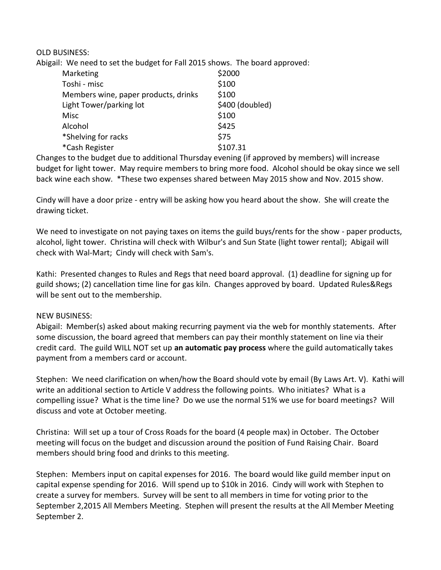OLD BUSINESS:

Abigail: We need to set the budget for Fall 2015 shows. The board approved:

| Marketing                            | \$2000          |
|--------------------------------------|-----------------|
| Toshi - misc                         | \$100           |
| Members wine, paper products, drinks | \$100           |
| Light Tower/parking lot              | \$400 (doubled) |
| Misc                                 | \$100           |
| Alcohol                              | \$425           |
| *Shelving for racks                  | \$75            |
| *Cash Register                       | \$107.31        |

Changes to the budget due to additional Thursday evening (if approved by members) will increase budget for light tower. May require members to bring more food. Alcohol should be okay since we sell back wine each show. \*These two expenses shared between May 2015 show and Nov. 2015 show.

Cindy will have a door prize - entry will be asking how you heard about the show. She will create the drawing ticket.

We need to investigate on not paying taxes on items the guild buys/rents for the show - paper products, alcohol, light tower. Christina will check with Wilbur's and Sun State (light tower rental); Abigail will check with Wal-Mart; Cindy will check with Sam's.

Kathi: Presented changes to Rules and Regs that need board approval. (1) deadline for signing up for guild shows; (2) cancellation time line for gas kiln. Changes approved by board. Updated Rules&Regs will be sent out to the membership.

## NEW BUSINESS:

Abigail: Member(s) asked about making recurring payment via the web for monthly statements. After some discussion, the board agreed that members can pay their monthly statement on line via their credit card. The guild WILL NOT set up **an automatic pay process** where the guild automatically takes payment from a members card or account.

Stephen: We need clarification on when/how the Board should vote by email (By Laws Art. V). Kathi will write an additional section to Article V address the following points. Who initiates? What is a compelling issue? What is the time line? Do we use the normal 51% we use for board meetings? Will discuss and vote at October meeting.

Christina: Will set up a tour of Cross Roads for the board (4 people max) in October. The October meeting will focus on the budget and discussion around the position of Fund Raising Chair. Board members should bring food and drinks to this meeting.

Stephen: Members input on capital expenses for 2016. The board would like guild member input on capital expense spending for 2016. Will spend up to \$10k in 2016. Cindy will work with Stephen to create a survey for members. Survey will be sent to all members in time for voting prior to the September 2,2015 All Members Meeting. Stephen will present the results at the All Member Meeting September 2.